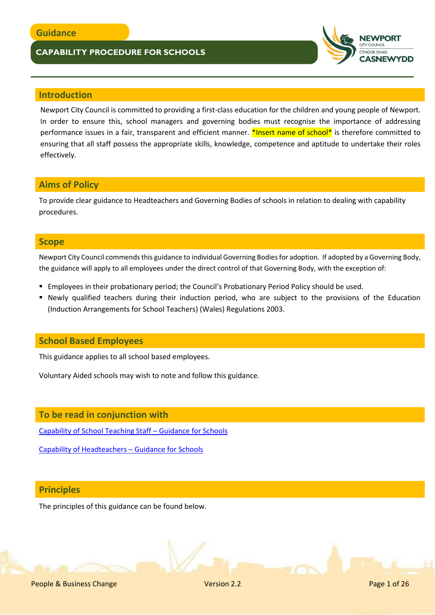

## **Introduction**

Newport City Council is committed to providing a first-class education for the children and young people of Newport. In order to ensure this, school managers and governing bodies must recognise the importance of addressing performance issues in a fair, transparent and efficient manner. \*Insert name of school\* is therefore committed to ensuring that all staff possess the appropriate skills, knowledge, competence and aptitude to undertake their roles effectively.

## **Aims of Policy**

To provide clear guidance to Headteachers and Governing Bodies of schools in relation to dealing with capability procedures.

## **Scope**

Newport City Council commends this guidance to individual Governing Bodies for adoption. If adopted by a Governing Body, the guidance will apply to all employees under the direct control of that Governing Body, with the exception of:

- **Employees in their probationary period; the Council's Probationary Period Policy should be used.**
- Newly qualified teachers during their induction period, who are subject to the provisions of the Education (Induction Arrangements for School Teachers) (Wales) Regulations 2003.

## **School Based Employees**

This guidance applies to all school based employees.

Voluntary Aided schools may wish to note and follow this guidance.

## **To be read in conjunction with**

[Capability of School Teaching Staff](https://beta.gov.wales/sites/default/files/publications/2018-03/capability-of-school-teaching-staff-guidance-for-schools.pdf) – Guidance for Schools

[Capability of Headteachers](https://beta.gov.wales/sites/default/files/publications/2018-03/capability-of-headteachers-guidance-for-schools.pdf) – Guidance for Schools

## **Principles**

The principles of this guidance can be found below.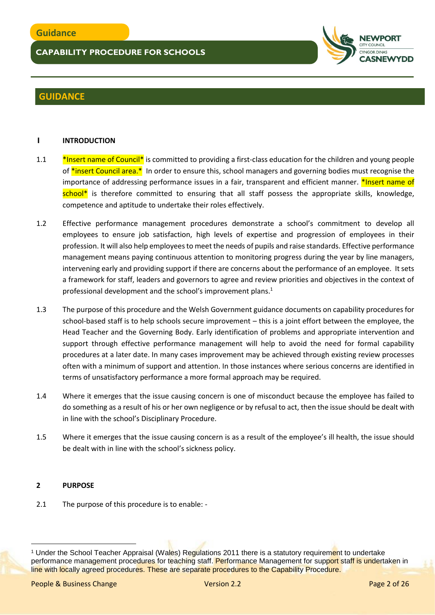

## **GUIDANCE**

## **1 INTRODUCTION**

- 1.1 **\*Insert name of Council\*** is committed to providing a first-class education for the children and young people of \*insert Council area.\* In order to ensure this, school managers and governing bodies must recognise the importance of addressing performance issues in a fair, transparent and efficient manner. \*Insert name of school<sup>\*</sup> is therefore committed to ensuring that all staff possess the appropriate skills, knowledge, competence and aptitude to undertake their roles effectively.
- 1.2 Effective performance management procedures demonstrate a school's commitment to develop all employees to ensure job satisfaction, high levels of expertise and progression of employees in their profession. It will also help employees to meet the needs of pupils and raise standards. Effective performance management means paying continuous attention to monitoring progress during the year by line managers, intervening early and providing support if there are concerns about the performance of an employee. It sets a framework for staff, leaders and governors to agree and review priorities and objectives in the context of professional development and the school's improvement plans.<sup>1</sup>
- 1.3 The purpose of this procedure and the Welsh Government guidance documents on capability procedures for school-based staff is to help schools secure improvement – this is a joint effort between the employee, the Head Teacher and the Governing Body. Early identification of problems and appropriate intervention and support through effective performance management will help to avoid the need for formal capability procedures at a later date. In many cases improvement may be achieved through existing review processes often with a minimum of support and attention. In those instances where serious concerns are identified in terms of unsatisfactory performance a more formal approach may be required.
- 1.4 Where it emerges that the issue causing concern is one of misconduct because the employee has failed to do something as a result of his or her own negligence or by refusal to act, then the issue should be dealt with in line with the school's Disciplinary Procedure.
- 1.5 Where it emerges that the issue causing concern is as a result of the employee's ill health, the issue should be dealt with in line with the school's sickness policy.

### **2 PURPOSE**

 $\overline{a}$ 

2.1 The purpose of this procedure is to enable: -

<sup>&</sup>lt;sup>1</sup> Under the School Teacher Appraisal (Wales) Regulations 2011 there is a statutory requirement to undertake performance management procedures for teaching staff. Performance Management for support staff is undertaken in line with locally agreed procedures. These are separate procedures to the Capability Procedure.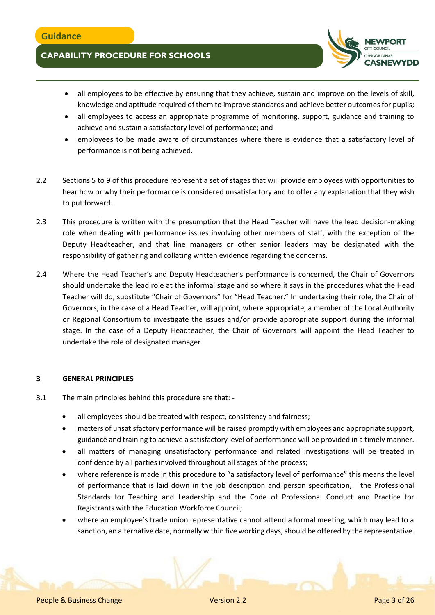

- all employees to be effective by ensuring that they achieve, sustain and improve on the levels of skill, knowledge and aptitude required of them to improve standards and achieve better outcomes for pupils;
- all employees to access an appropriate programme of monitoring, support, guidance and training to achieve and sustain a satisfactory level of performance; and
- employees to be made aware of circumstances where there is evidence that a satisfactory level of performance is not being achieved.
- 2.2 Sections 5 to 9 of this procedure represent a set of stages that will provide employees with opportunities to hear how or why their performance is considered unsatisfactory and to offer any explanation that they wish to put forward.
- 2.3 This procedure is written with the presumption that the Head Teacher will have the lead decision-making role when dealing with performance issues involving other members of staff, with the exception of the Deputy Headteacher, and that line managers or other senior leaders may be designated with the responsibility of gathering and collating written evidence regarding the concerns.
- 2.4 Where the Head Teacher's and Deputy Headteacher's performance is concerned, the Chair of Governors should undertake the lead role at the informal stage and so where it says in the procedures what the Head Teacher will do, substitute "Chair of Governors" for "Head Teacher." In undertaking their role, the Chair of Governors, in the case of a Head Teacher, will appoint, where appropriate, a member of the Local Authority or Regional Consortium to investigate the issues and/or provide appropriate support during the informal stage. In the case of a Deputy Headteacher, the Chair of Governors will appoint the Head Teacher to undertake the role of designated manager.

### **3 GENERAL PRINCIPLES**

- 3.1 The main principles behind this procedure are that:
	- all employees should be treated with respect, consistency and fairness;
	- matters of unsatisfactory performance will be raised promptly with employees and appropriate support, guidance and training to achieve a satisfactory level of performance will be provided in a timely manner.
	- all matters of managing unsatisfactory performance and related investigations will be treated in confidence by all parties involved throughout all stages of the process;
	- where reference is made in this procedure to "a satisfactory level of performance" this means the level of performance that is laid down in the job description and person specification, the Professional Standards for Teaching and Leadership and the Code of Professional Conduct and Practice for Registrants with the Education Workforce Council;
	- where an employee's trade union representative cannot attend a formal meeting, which may lead to a sanction, an alternative date, normally within five working days, should be offered by the representative.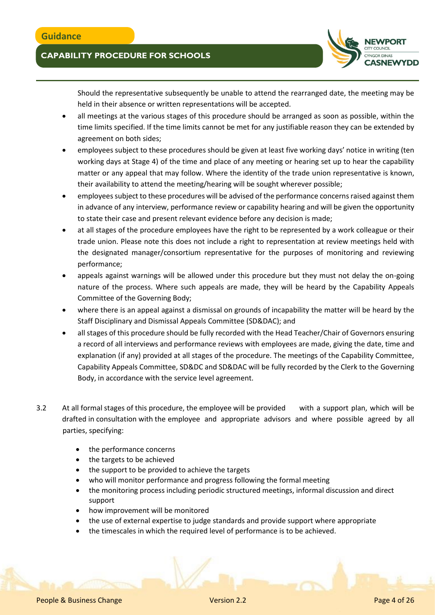

Should the representative subsequently be unable to attend the rearranged date, the meeting may be held in their absence or written representations will be accepted.

- all meetings at the various stages of this procedure should be arranged as soon as possible, within the time limits specified. If the time limits cannot be met for any justifiable reason they can be extended by agreement on both sides;
- employees subject to these procedures should be given at least five working days' notice in writing (ten working days at Stage 4) of the time and place of any meeting or hearing set up to hear the capability matter or any appeal that may follow. Where the identity of the trade union representative is known, their availability to attend the meeting/hearing will be sought wherever possible;
- employees subject to these procedures will be advised of the performance concerns raised against them in advance of any interview, performance review or capability hearing and will be given the opportunity to state their case and present relevant evidence before any decision is made;
- at all stages of the procedure employees have the right to be represented by a work colleague or their trade union. Please note this does not include a right to representation at review meetings held with the designated manager/consortium representative for the purposes of monitoring and reviewing performance;
- appeals against warnings will be allowed under this procedure but they must not delay the on-going nature of the process. Where such appeals are made, they will be heard by the Capability Appeals Committee of the Governing Body;
- where there is an appeal against a dismissal on grounds of incapability the matter will be heard by the Staff Disciplinary and Dismissal Appeals Committee (SD&DAC); and
- all stages of this procedure should be fully recorded with the Head Teacher/Chair of Governors ensuring a record of all interviews and performance reviews with employees are made, giving the date, time and explanation (if any) provided at all stages of the procedure. The meetings of the Capability Committee, Capability Appeals Committee, SD&DC and SD&DAC will be fully recorded by the Clerk to the Governing Body, in accordance with the service level agreement.
- 3.2 At all formal stages of this procedure, the employee will be provided with a support plan, which will be drafted in consultation with the employee and appropriate advisors and where possible agreed by all parties, specifying:
	- the performance concerns
	- the targets to be achieved
	- the support to be provided to achieve the targets
	- who will monitor performance and progress following the formal meeting
	- the monitoring process including periodic structured meetings, informal discussion and direct support
	- how improvement will be monitored
	- the use of external expertise to judge standards and provide support where appropriate
	- the timescales in which the required level of performance is to be achieved.

People & Business Change Version 2.2 People & Business Change 4 of 26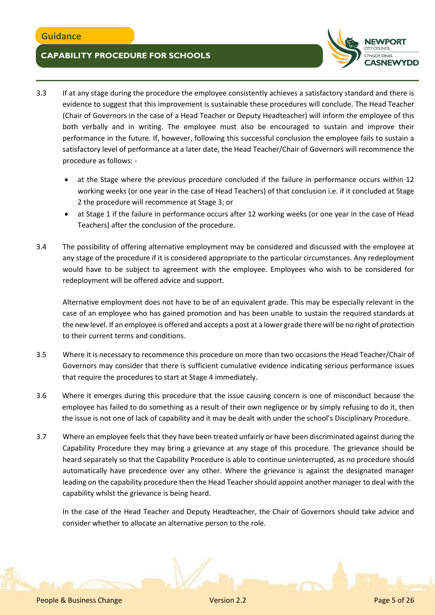

- 3.3 If at any stage during the procedure the employee consistently achieves a satisfactory standard and there is evidence to suggest that this improvement is sustainable these procedures will conclude. The Head Teacher (Chair of Governors in the case of a Head Teacher or Deputy Headteacher) will inform the employee of this both verbally and in writing. The employee must also be encouraged to sustain and improve their performance in the future. If, however, following this successful conclusion the employee fails to sustain a satisfactory level of performance at a later date, the Head Teacher/Chair of Governors will recommence the procedure as follows:
	- at the Stage where the previous procedure concluded if the failure in performance occurs within 12 working weeks (or one year in the case of Head Teachers) of that conclusion i.e. if it concluded at Stage 2 the procedure will recommence at Stage 3; or
	- at Stage 1 if the failure in performance occurs after 12 working weeks (or one year in the case of Head Teachers) after the conclusion of the procedure.
- 3.4 The possibility of offering alternative employment may be considered and discussed with the employee at any stage of the procedure if it is considered appropriate to the particular circumstances. Any redeployment would have to be subject to agreement with the employee. Employees who wish to be considered for redeployment will be offered advice and support.

Alternative employment does not have to be of an equivalent grade. This may be especially relevant in the case of an employee who has gained promotion and has been unable to sustain the required standards at the new level. If an employee is offered and accepts a post at a lower grade there will be no right of protection to their current terms and conditions.

- 3.5 Where it is necessary to recommence this procedure on more than two occasions the Head Teacher/Chair of Governors may consider that there is sufficient cumulative evidence indicating serious performance issues that require the procedures to start at Stage 4 immediately.
- 3.6 Where it emerges during this procedure that the issue causing concern is one of misconduct because the employee has failed to do something as a result of their own negligence or by simply refusing to do it, then the issue is not one of lack of capability and it may be dealt with under the school's Disciplinary Procedure.
- 3.7 Where an employee feels that they have been treated unfairly or have been discriminated against during the Capability Procedure they may bring a grievance at any stage of this procedure. The grievance should be heard separately so that the Capability Procedure is able to continue uninterrupted, as no procedure should automatically have precedence over any other. Where the grievance is against the designated manager leading on the capability procedure then the Head Teacher should appoint another manager to deal with the capability whilst the grievance is being heard.

In the case of the Head Teacher and Deputy Headteacher, the Chair of Governors should take advice and consider whether to allocate an alternative person to the role.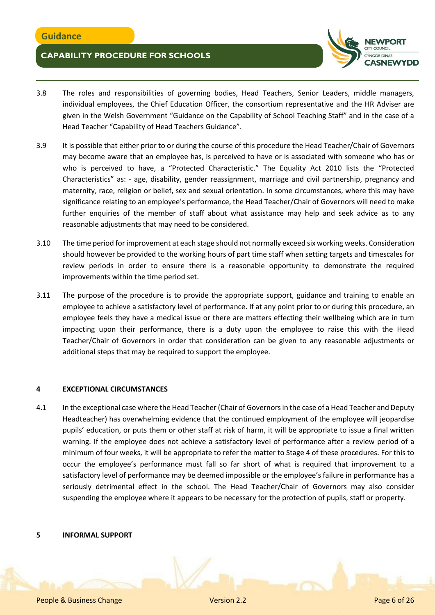

- 3.8 The roles and responsibilities of governing bodies, Head Teachers, Senior Leaders, middle managers, individual employees, the Chief Education Officer, the consortium representative and the HR Adviser are given in the Welsh Government "Guidance on the Capability of School Teaching Staff" and in the case of a Head Teacher "Capability of Head Teachers Guidance".
- 3.9 It is possible that either prior to or during the course of this procedure the Head Teacher/Chair of Governors may become aware that an employee has, is perceived to have or is associated with someone who has or who is perceived to have, a "Protected Characteristic." The Equality Act 2010 lists the "Protected Characteristics" as: - age, disability, gender reassignment, marriage and civil partnership, pregnancy and maternity, race, religion or belief, sex and sexual orientation. In some circumstances, where this may have significance relating to an employee's performance, the Head Teacher/Chair of Governors will need to make further enquiries of the member of staff about what assistance may help and seek advice as to any reasonable adjustments that may need to be considered.
- 3.10 The time period for improvement at each stage should not normally exceed six working weeks. Consideration should however be provided to the working hours of part time staff when setting targets and timescales for review periods in order to ensure there is a reasonable opportunity to demonstrate the required improvements within the time period set.
- 3.11 The purpose of the procedure is to provide the appropriate support, guidance and training to enable an employee to achieve a satisfactory level of performance. If at any point prior to or during this procedure, an employee feels they have a medical issue or there are matters effecting their wellbeing which are in turn impacting upon their performance, there is a duty upon the employee to raise this with the Head Teacher/Chair of Governors in order that consideration can be given to any reasonable adjustments or additional steps that may be required to support the employee.

### **4 EXCEPTIONAL CIRCUMSTANCES**

4.1 In the exceptional case where the Head Teacher (Chair of Governors in the case of a Head Teacher and Deputy Headteacher) has overwhelming evidence that the continued employment of the employee will jeopardise pupils' education, or puts them or other staff at risk of harm, it will be appropriate to issue a final written warning. If the employee does not achieve a satisfactory level of performance after a review period of a minimum of four weeks, it will be appropriate to refer the matter to Stage 4 of these procedures. For this to occur the employee's performance must fall so far short of what is required that improvement to a satisfactory level of performance may be deemed impossible or the employee's failure in performance has a seriously detrimental effect in the school. The Head Teacher/Chair of Governors may also consider suspending the employee where it appears to be necessary for the protection of pupils, staff or property.

#### **5 INFORMAL SUPPORT**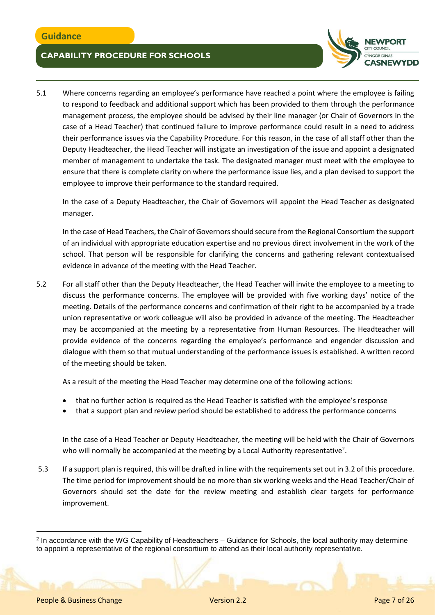

5.1 Where concerns regarding an employee's performance have reached a point where the employee is failing to respond to feedback and additional support which has been provided to them through the performance management process, the employee should be advised by their line manager (or Chair of Governors in the case of a Head Teacher) that continued failure to improve performance could result in a need to address their performance issues via the Capability Procedure. For this reason, in the case of all staff other than the Deputy Headteacher, the Head Teacher will instigate an investigation of the issue and appoint a designated member of management to undertake the task. The designated manager must meet with the employee to ensure that there is complete clarity on where the performance issue lies, and a plan devised to support the employee to improve their performance to the standard required.

In the case of a Deputy Headteacher, the Chair of Governors will appoint the Head Teacher as designated manager.

In the case of Head Teachers, the Chair of Governors should secure from the Regional Consortium the support of an individual with appropriate education expertise and no previous direct involvement in the work of the school. That person will be responsible for clarifying the concerns and gathering relevant contextualised evidence in advance of the meeting with the Head Teacher.

5.2 For all staff other than the Deputy Headteacher, the Head Teacher will invite the employee to a meeting to discuss the performance concerns. The employee will be provided with five working days' notice of the meeting. Details of the performance concerns and confirmation of their right to be accompanied by a trade union representative or work colleague will also be provided in advance of the meeting. The Headteacher may be accompanied at the meeting by a representative from Human Resources. The Headteacher will provide evidence of the concerns regarding the employee's performance and engender discussion and dialogue with them so that mutual understanding of the performance issues is established. A written record of the meeting should be taken.

As a result of the meeting the Head Teacher may determine one of the following actions:

- that no further action is required as the Head Teacher is satisfied with the employee's response
- that a support plan and review period should be established to address the performance concerns

In the case of a Head Teacher or Deputy Headteacher, the meeting will be held with the Chair of Governors who will normally be accompanied at the meeting by a Local Authority representative<sup>2</sup>.

5.3 If a support plan is required, this will be drafted in line with the requirements set out in 3.2 of this procedure. The time period for improvement should be no more than six working weeks and the Head Teacher/Chair of Governors should set the date for the review meeting and establish clear targets for performance improvement.

 $\overline{a}$ 

<sup>2</sup> In accordance with the WG Capability of Headteachers – Guidance for Schools, the local authority may determine to appoint a representative of the regional consortium to attend as their local authority representative.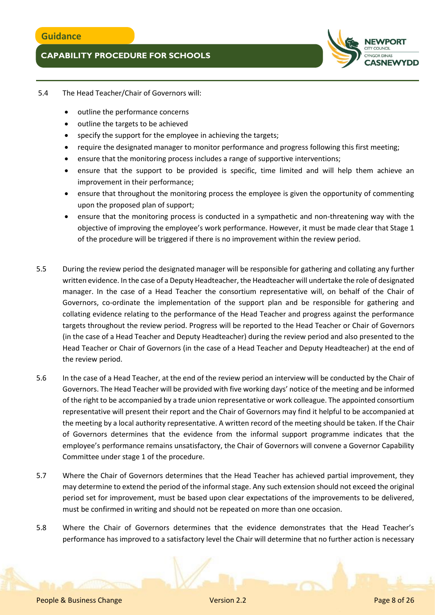

### 5.4 The Head Teacher/Chair of Governors will:

- outline the performance concerns
- outline the targets to be achieved
- specify the support for the employee in achieving the targets;
- require the designated manager to monitor performance and progress following this first meeting;
- ensure that the monitoring process includes a range of supportive interventions;
- ensure that the support to be provided is specific, time limited and will help them achieve an improvement in their performance;
- ensure that throughout the monitoring process the employee is given the opportunity of commenting upon the proposed plan of support;
- ensure that the monitoring process is conducted in a sympathetic and non-threatening way with the objective of improving the employee's work performance. However, it must be made clear that Stage 1 of the procedure will be triggered if there is no improvement within the review period.
- 5.5 During the review period the designated manager will be responsible for gathering and collating any further written evidence. In the case of a Deputy Headteacher, the Headteacher will undertake the role of designated manager. In the case of a Head Teacher the consortium representative will, on behalf of the Chair of Governors, co-ordinate the implementation of the support plan and be responsible for gathering and collating evidence relating to the performance of the Head Teacher and progress against the performance targets throughout the review period. Progress will be reported to the Head Teacher or Chair of Governors (in the case of a Head Teacher and Deputy Headteacher) during the review period and also presented to the Head Teacher or Chair of Governors (in the case of a Head Teacher and Deputy Headteacher) at the end of the review period.
- 5.6 In the case of a Head Teacher, at the end of the review period an interview will be conducted by the Chair of Governors. The Head Teacher will be provided with five working days' notice of the meeting and be informed of the right to be accompanied by a trade union representative or work colleague. The appointed consortium representative will present their report and the Chair of Governors may find it helpful to be accompanied at the meeting by a local authority representative. A written record of the meeting should be taken. If the Chair of Governors determines that the evidence from the informal support programme indicates that the employee's performance remains unsatisfactory, the Chair of Governors will convene a Governor Capability Committee under stage 1 of the procedure.
- 5.7 Where the Chair of Governors determines that the Head Teacher has achieved partial improvement, they may determine to extend the period of the informal stage. Any such extension should not exceed the original period set for improvement, must be based upon clear expectations of the improvements to be delivered, must be confirmed in writing and should not be repeated on more than one occasion.
- 5.8 Where the Chair of Governors determines that the evidence demonstrates that the Head Teacher's performance has improved to a satisfactory level the Chair will determine that no further action is necessary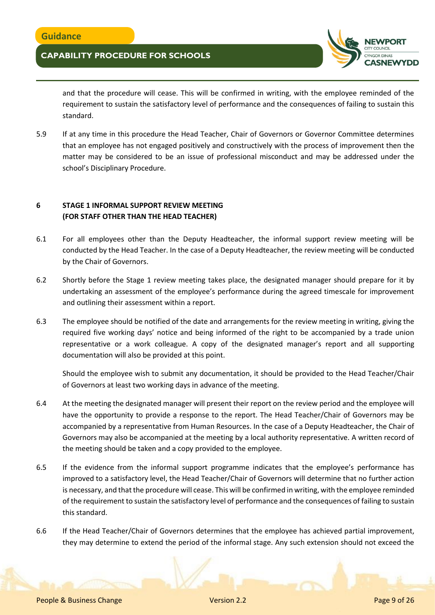

and that the procedure will cease. This will be confirmed in writing, with the employee reminded of the requirement to sustain the satisfactory level of performance and the consequences of failing to sustain this standard.

5.9 If at any time in this procedure the Head Teacher, Chair of Governors or Governor Committee determines that an employee has not engaged positively and constructively with the process of improvement then the matter may be considered to be an issue of professional misconduct and may be addressed under the school's Disciplinary Procedure.

## **6 STAGE 1 INFORMAL SUPPORT REVIEW MEETING (FOR STAFF OTHER THAN THE HEAD TEACHER)**

- 6.1 For all employees other than the Deputy Headteacher, the informal support review meeting will be conducted by the Head Teacher. In the case of a Deputy Headteacher, the review meeting will be conducted by the Chair of Governors.
- 6.2 Shortly before the Stage 1 review meeting takes place, the designated manager should prepare for it by undertaking an assessment of the employee's performance during the agreed timescale for improvement and outlining their assessment within a report.
- 6.3 The employee should be notified of the date and arrangements for the review meeting in writing, giving the required five working days' notice and being informed of the right to be accompanied by a trade union representative or a work colleague. A copy of the designated manager's report and all supporting documentation will also be provided at this point.

Should the employee wish to submit any documentation, it should be provided to the Head Teacher/Chair of Governors at least two working days in advance of the meeting.

- 6.4 At the meeting the designated manager will present their report on the review period and the employee will have the opportunity to provide a response to the report. The Head Teacher/Chair of Governors may be accompanied by a representative from Human Resources. In the case of a Deputy Headteacher, the Chair of Governors may also be accompanied at the meeting by a local authority representative. A written record of the meeting should be taken and a copy provided to the employee.
- 6.5 If the evidence from the informal support programme indicates that the employee's performance has improved to a satisfactory level, the Head Teacher/Chair of Governors will determine that no further action is necessary, and that the procedure will cease. This will be confirmed in writing, with the employee reminded of the requirement to sustain the satisfactory level of performance and the consequences of failing to sustain this standard.
- 6.6 If the Head Teacher/Chair of Governors determines that the employee has achieved partial improvement, they may determine to extend the period of the informal stage. Any such extension should not exceed the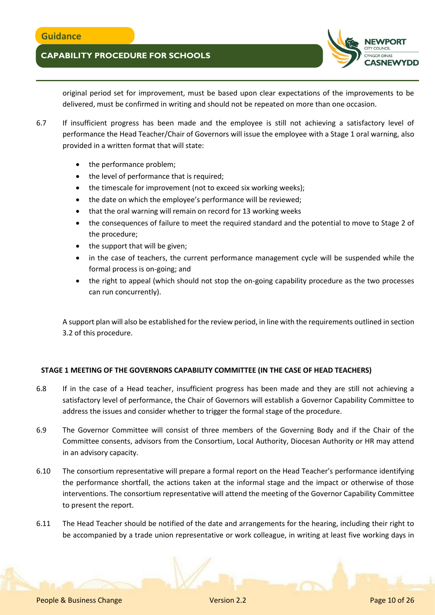

original period set for improvement, must be based upon clear expectations of the improvements to be delivered, must be confirmed in writing and should not be repeated on more than one occasion.

- 6.7 If insufficient progress has been made and the employee is still not achieving a satisfactory level of performance the Head Teacher/Chair of Governors will issue the employee with a Stage 1 oral warning, also provided in a written format that will state:
	- the performance problem;
	- the level of performance that is required;
	- the timescale for improvement (not to exceed six working weeks);
	- the date on which the employee's performance will be reviewed;
	- that the oral warning will remain on record for 13 working weeks
	- the consequences of failure to meet the required standard and the potential to move to Stage 2 of the procedure;
	- the support that will be given;
	- in the case of teachers, the current performance management cycle will be suspended while the formal process is on-going; and
	- the right to appeal (which should not stop the on-going capability procedure as the two processes can run concurrently).

A support plan will also be established for the review period, in line with the requirements outlined in section 3.2 of this procedure.

### **STAGE 1 MEETING OF THE GOVERNORS CAPABILITY COMMITTEE (IN THE CASE OF HEAD TEACHERS)**

- 6.8 If in the case of a Head teacher, insufficient progress has been made and they are still not achieving a satisfactory level of performance, the Chair of Governors will establish a Governor Capability Committee to address the issues and consider whether to trigger the formal stage of the procedure.
- 6.9 The Governor Committee will consist of three members of the Governing Body and if the Chair of the Committee consents, advisors from the Consortium, Local Authority, Diocesan Authority or HR may attend in an advisory capacity.
- 6.10 The consortium representative will prepare a formal report on the Head Teacher's performance identifying the performance shortfall, the actions taken at the informal stage and the impact or otherwise of those interventions. The consortium representative will attend the meeting of the Governor Capability Committee to present the report.
- 6.11 The Head Teacher should be notified of the date and arrangements for the hearing, including their right to be accompanied by a trade union representative or work colleague, in writing at least five working days in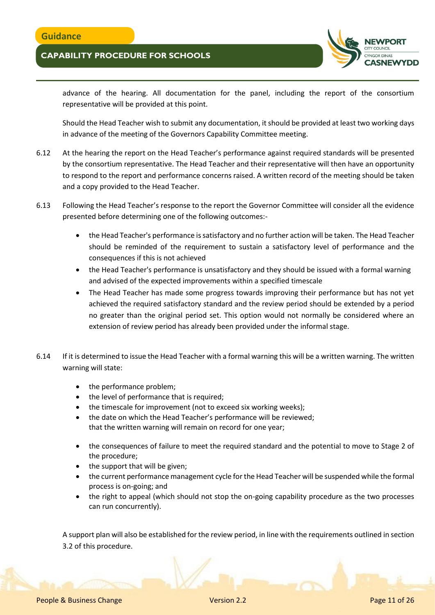

advance of the hearing. All documentation for the panel, including the report of the consortium representative will be provided at this point.

Should the Head Teacher wish to submit any documentation, it should be provided at least two working days in advance of the meeting of the Governors Capability Committee meeting.

- 6.12 At the hearing the report on the Head Teacher's performance against required standards will be presented by the consortium representative. The Head Teacher and their representative will then have an opportunity to respond to the report and performance concerns raised. A written record of the meeting should be taken and a copy provided to the Head Teacher.
- 6.13 Following the Head Teacher's response to the report the Governor Committee will consider all the evidence presented before determining one of the following outcomes:
	- the Head Teacher's performance is satisfactory and no further action will be taken. The Head Teacher should be reminded of the requirement to sustain a satisfactory level of performance and the consequences if this is not achieved
	- the Head Teacher's performance is unsatisfactory and they should be issued with a formal warning and advised of the expected improvements within a specified timescale
	- The Head Teacher has made some progress towards improving their performance but has not yet achieved the required satisfactory standard and the review period should be extended by a period no greater than the original period set. This option would not normally be considered where an extension of review period has already been provided under the informal stage.
- 6.14 If it is determined to issue the Head Teacher with a formal warning this will be a written warning. The written warning will state:
	- the performance problem;
	- the level of performance that is required;
	- the timescale for improvement (not to exceed six working weeks);
	- the date on which the Head Teacher's performance will be reviewed; that the written warning will remain on record for one year;
	- the consequences of failure to meet the required standard and the potential to move to Stage 2 of the procedure;
	- the support that will be given;
	- the current performance management cycle for the Head Teacher will be suspended while the formal process is on-going; and
	- the right to appeal (which should not stop the on-going capability procedure as the two processes can run concurrently).

A support plan will also be established for the review period, in line with the requirements outlined in section 3.2 of this procedure.

People & Business Change Version 2.2 Page 11 of 26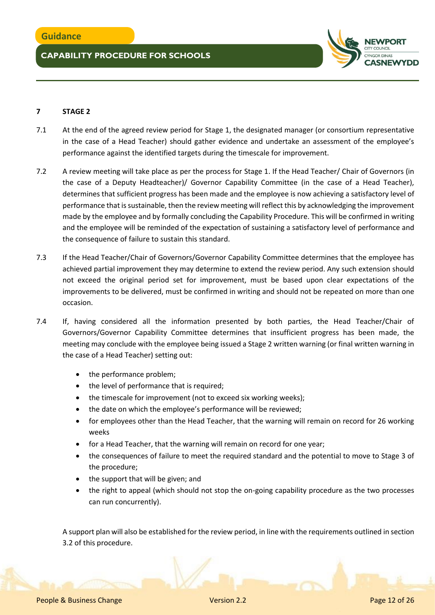

## **7 STAGE 2**

- 7.1 At the end of the agreed review period for Stage 1, the designated manager (or consortium representative in the case of a Head Teacher) should gather evidence and undertake an assessment of the employee's performance against the identified targets during the timescale for improvement.
- 7.2 A review meeting will take place as per the process for Stage 1. If the Head Teacher/ Chair of Governors (in the case of a Deputy Headteacher)/ Governor Capability Committee (in the case of a Head Teacher), determines that sufficient progress has been made and the employee is now achieving a satisfactory level of performance that is sustainable, then the review meeting will reflect this by acknowledging the improvement made by the employee and by formally concluding the Capability Procedure. This will be confirmed in writing and the employee will be reminded of the expectation of sustaining a satisfactory level of performance and the consequence of failure to sustain this standard.
- 7.3 If the Head Teacher/Chair of Governors/Governor Capability Committee determines that the employee has achieved partial improvement they may determine to extend the review period. Any such extension should not exceed the original period set for improvement, must be based upon clear expectations of the improvements to be delivered, must be confirmed in writing and should not be repeated on more than one occasion.
- 7.4 If, having considered all the information presented by both parties, the Head Teacher/Chair of Governors/Governor Capability Committee determines that insufficient progress has been made, the meeting may conclude with the employee being issued a Stage 2 written warning (or final written warning in the case of a Head Teacher) setting out:
	- the performance problem;
	- the level of performance that is required;
	- the timescale for improvement (not to exceed six working weeks);
	- the date on which the employee's performance will be reviewed;
	- for employees other than the Head Teacher, that the warning will remain on record for 26 working weeks
	- for a Head Teacher, that the warning will remain on record for one year;
	- the consequences of failure to meet the required standard and the potential to move to Stage 3 of the procedure;
	- the support that will be given; and
	- the right to appeal (which should not stop the on-going capability procedure as the two processes can run concurrently).

A support plan will also be established for the review period, in line with the requirements outlined in section 3.2 of this procedure.

People & Business Change Version 2.2 Page 12 of 26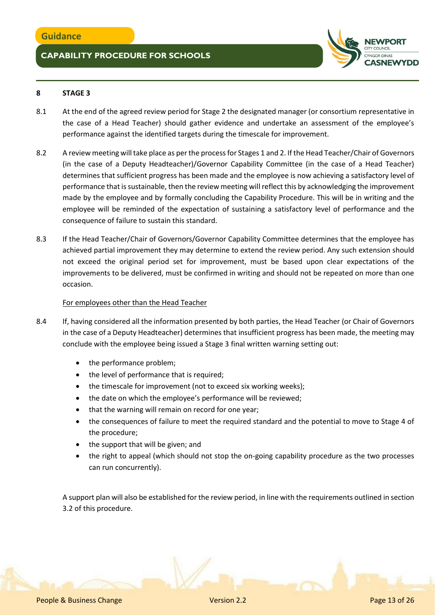

## **8 STAGE 3**

- 8.1 At the end of the agreed review period for Stage 2 the designated manager (or consortium representative in the case of a Head Teacher) should gather evidence and undertake an assessment of the employee's performance against the identified targets during the timescale for improvement.
- 8.2 A review meeting will take place as per the process for Stages 1 and 2. If the Head Teacher/Chair of Governors (in the case of a Deputy Headteacher)/Governor Capability Committee (in the case of a Head Teacher) determines that sufficient progress has been made and the employee is now achieving a satisfactory level of performance that is sustainable, then the review meeting will reflect this by acknowledging the improvement made by the employee and by formally concluding the Capability Procedure. This will be in writing and the employee will be reminded of the expectation of sustaining a satisfactory level of performance and the consequence of failure to sustain this standard.
- 8.3 If the Head Teacher/Chair of Governors/Governor Capability Committee determines that the employee has achieved partial improvement they may determine to extend the review period. Any such extension should not exceed the original period set for improvement, must be based upon clear expectations of the improvements to be delivered, must be confirmed in writing and should not be repeated on more than one occasion.

### For employees other than the Head Teacher

- 8.4 If, having considered all the information presented by both parties, the Head Teacher (or Chair of Governors in the case of a Deputy Headteacher) determines that insufficient progress has been made, the meeting may conclude with the employee being issued a Stage 3 final written warning setting out:
	- the performance problem;
	- the level of performance that is required;
	- the timescale for improvement (not to exceed six working weeks);
	- the date on which the employee's performance will be reviewed;
	- that the warning will remain on record for one year;
	- the consequences of failure to meet the required standard and the potential to move to Stage 4 of the procedure;
	- the support that will be given; and
	- the right to appeal (which should not stop the on-going capability procedure as the two processes can run concurrently).

A support plan will also be established for the review period, in line with the requirements outlined in section 3.2 of this procedure.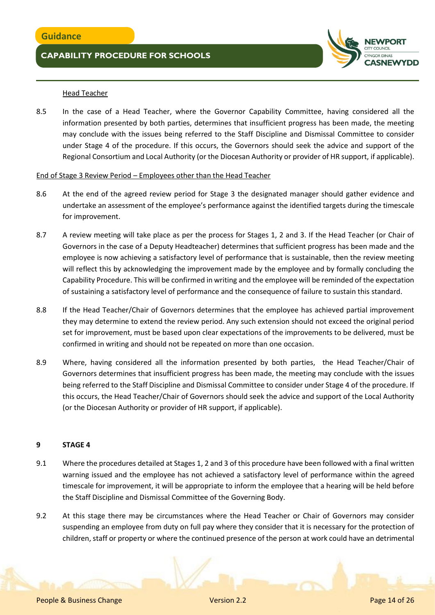

### Head Teacher

8.5 In the case of a Head Teacher, where the Governor Capability Committee, having considered all the information presented by both parties, determines that insufficient progress has been made, the meeting may conclude with the issues being referred to the Staff Discipline and Dismissal Committee to consider under Stage 4 of the procedure. If this occurs, the Governors should seek the advice and support of the Regional Consortium and Local Authority (or the Diocesan Authority or provider of HR support, if applicable).

### End of Stage 3 Review Period – Employees other than the Head Teacher

- 8.6 At the end of the agreed review period for Stage 3 the designated manager should gather evidence and undertake an assessment of the employee's performance against the identified targets during the timescale for improvement.
- 8.7 A review meeting will take place as per the process for Stages 1, 2 and 3. If the Head Teacher (or Chair of Governors in the case of a Deputy Headteacher) determines that sufficient progress has been made and the employee is now achieving a satisfactory level of performance that is sustainable, then the review meeting will reflect this by acknowledging the improvement made by the employee and by formally concluding the Capability Procedure. This will be confirmed in writing and the employee will be reminded of the expectation of sustaining a satisfactory level of performance and the consequence of failure to sustain this standard.
- 8.8 If the Head Teacher/Chair of Governors determines that the employee has achieved partial improvement they may determine to extend the review period. Any such extension should not exceed the original period set for improvement, must be based upon clear expectations of the improvements to be delivered, must be confirmed in writing and should not be repeated on more than one occasion.
- 8.9 Where, having considered all the information presented by both parties, the Head Teacher/Chair of Governors determines that insufficient progress has been made, the meeting may conclude with the issues being referred to the Staff Discipline and Dismissal Committee to consider under Stage 4 of the procedure. If this occurs, the Head Teacher/Chair of Governors should seek the advice and support of the Local Authority (or the Diocesan Authority or provider of HR support, if applicable).

### **9 STAGE 4**

- 9.1 Where the procedures detailed at Stages 1, 2 and 3 of this procedure have been followed with a final written warning issued and the employee has not achieved a satisfactory level of performance within the agreed timescale for improvement, it will be appropriate to inform the employee that a hearing will be held before the Staff Discipline and Dismissal Committee of the Governing Body.
- 9.2 At this stage there may be circumstances where the Head Teacher or Chair of Governors may consider suspending an employee from duty on full pay where they consider that it is necessary for the protection of children, staff or property or where the continued presence of the person at work could have an detrimental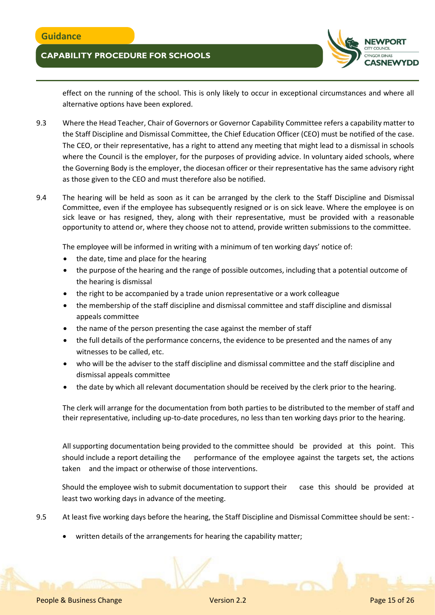

effect on the running of the school. This is only likely to occur in exceptional circumstances and where all alternative options have been explored.

- 9.3 Where the Head Teacher, Chair of Governors or Governor Capability Committee refers a capability matter to the Staff Discipline and Dismissal Committee, the Chief Education Officer (CEO) must be notified of the case. The CEO, or their representative, has a right to attend any meeting that might lead to a dismissal in schools where the Council is the employer, for the purposes of providing advice. In voluntary aided schools, where the Governing Body is the employer, the diocesan officer or their representative has the same advisory right as those given to the CEO and must therefore also be notified.
- 9.4 The hearing will be held as soon as it can be arranged by the clerk to the Staff Discipline and Dismissal Committee, even if the employee has subsequently resigned or is on sick leave. Where the employee is on sick leave or has resigned, they, along with their representative, must be provided with a reasonable opportunity to attend or, where they choose not to attend, provide written submissions to the committee.

The employee will be informed in writing with a minimum of ten working days' notice of:

- the date, time and place for the hearing
- the purpose of the hearing and the range of possible outcomes, including that a potential outcome of the hearing is dismissal
- the right to be accompanied by a trade union representative or a work colleague
- the membership of the staff discipline and dismissal committee and staff discipline and dismissal appeals committee
- the name of the person presenting the case against the member of staff
- the full details of the performance concerns, the evidence to be presented and the names of any witnesses to be called, etc.
- who will be the adviser to the staff discipline and dismissal committee and the staff discipline and dismissal appeals committee
- the date by which all relevant documentation should be received by the clerk prior to the hearing.

The clerk will arrange for the documentation from both parties to be distributed to the member of staff and their representative, including up-to-date procedures, no less than ten working days prior to the hearing.

All supporting documentation being provided to the committee should be provided at this point. This should include a report detailing the performance of the employee against the targets set, the actions taken and the impact or otherwise of those interventions.

Should the employee wish to submit documentation to support their case this should be provided at least two working days in advance of the meeting.

- 9.5 At least five working days before the hearing, the Staff Discipline and Dismissal Committee should be sent:
	- written details of the arrangements for hearing the capability matter;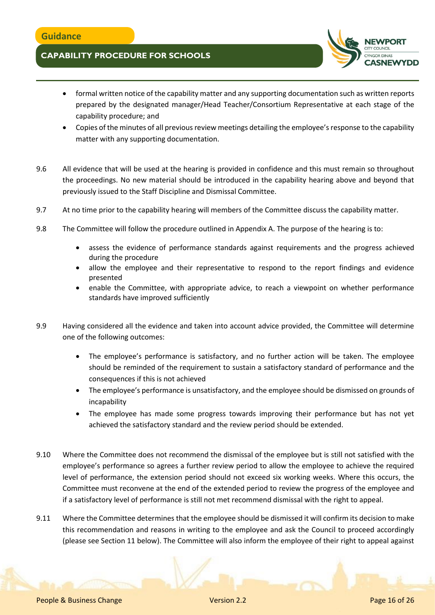

- formal written notice of the capability matter and any supporting documentation such as written reports prepared by the designated manager/Head Teacher/Consortium Representative at each stage of the capability procedure; and
- Copies of the minutes of all previous review meetings detailing the employee's response to the capability matter with any supporting documentation.
- 9.6 All evidence that will be used at the hearing is provided in confidence and this must remain so throughout the proceedings. No new material should be introduced in the capability hearing above and beyond that previously issued to the Staff Discipline and Dismissal Committee.
- 9.7 At no time prior to the capability hearing will members of the Committee discuss the capability matter.
- 9.8 The Committee will follow the procedure outlined in Appendix A. The purpose of the hearing is to:
	- assess the evidence of performance standards against requirements and the progress achieved during the procedure
	- allow the employee and their representative to respond to the report findings and evidence presented
	- enable the Committee, with appropriate advice, to reach a viewpoint on whether performance standards have improved sufficiently
- 9.9 Having considered all the evidence and taken into account advice provided, the Committee will determine one of the following outcomes:
	- The employee's performance is satisfactory, and no further action will be taken. The employee should be reminded of the requirement to sustain a satisfactory standard of performance and the consequences if this is not achieved
	- The employee's performance is unsatisfactory, and the employee should be dismissed on grounds of incapability
	- The employee has made some progress towards improving their performance but has not yet achieved the satisfactory standard and the review period should be extended.
- 9.10 Where the Committee does not recommend the dismissal of the employee but is still not satisfied with the employee's performance so agrees a further review period to allow the employee to achieve the required level of performance, the extension period should not exceed six working weeks. Where this occurs, the Committee must reconvene at the end of the extended period to review the progress of the employee and if a satisfactory level of performance is still not met recommend dismissal with the right to appeal.
- 9.11 Where the Committee determines that the employee should be dismissed it will confirm its decision to make this recommendation and reasons in writing to the employee and ask the Council to proceed accordingly (please see Section 11 below). The Committee will also inform the employee of their right to appeal against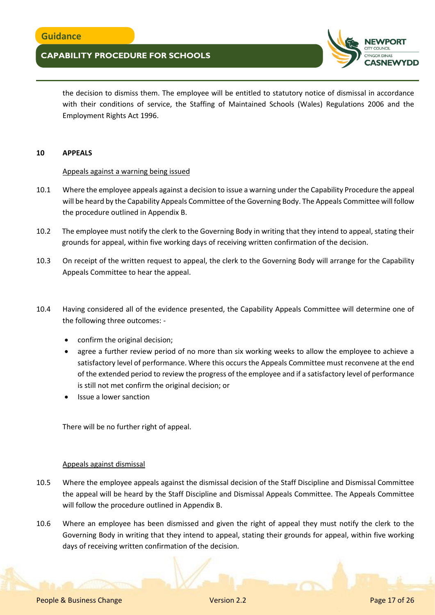

the decision to dismiss them. The employee will be entitled to statutory notice of dismissal in accordance with their conditions of service, the Staffing of Maintained Schools (Wales) Regulations 2006 and the Employment Rights Act 1996.

#### **10 APPEALS**

#### Appeals against a warning being issued

- 10.1 Where the employee appeals against a decision to issue a warning under the Capability Procedure the appeal will be heard by the Capability Appeals Committee of the Governing Body. The Appeals Committee will follow the procedure outlined in Appendix B.
- 10.2 The employee must notify the clerk to the Governing Body in writing that they intend to appeal, stating their grounds for appeal, within five working days of receiving written confirmation of the decision.
- 10.3 On receipt of the written request to appeal, the clerk to the Governing Body will arrange for the Capability Appeals Committee to hear the appeal.
- 10.4 Having considered all of the evidence presented, the Capability Appeals Committee will determine one of the following three outcomes:
	- confirm the original decision;
	- agree a further review period of no more than six working weeks to allow the employee to achieve a satisfactory level of performance. Where this occurs the Appeals Committee must reconvene at the end of the extended period to review the progress of the employee and if a satisfactory level of performance is still not met confirm the original decision; or
	- Issue a lower sanction

There will be no further right of appeal.

#### Appeals against dismissal

- 10.5 Where the employee appeals against the dismissal decision of the Staff Discipline and Dismissal Committee the appeal will be heard by the Staff Discipline and Dismissal Appeals Committee. The Appeals Committee will follow the procedure outlined in Appendix B.
- 10.6 Where an employee has been dismissed and given the right of appeal they must notify the clerk to the Governing Body in writing that they intend to appeal, stating their grounds for appeal, within five working days of receiving written confirmation of the decision.

People & Business Change Version 2.2 Page 17 of 26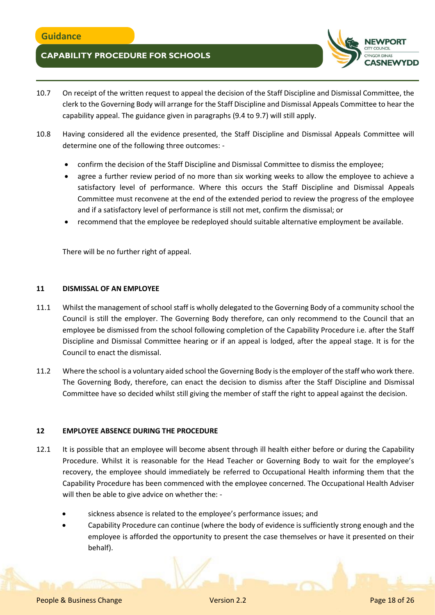

- 10.7 On receipt of the written request to appeal the decision of the Staff Discipline and Dismissal Committee, the clerk to the Governing Body will arrange for the Staff Discipline and Dismissal Appeals Committee to hear the capability appeal. The guidance given in paragraphs (9.4 to 9.7) will still apply.
- 10.8 Having considered all the evidence presented, the Staff Discipline and Dismissal Appeals Committee will determine one of the following three outcomes:
	- confirm the decision of the Staff Discipline and Dismissal Committee to dismiss the employee;
	- agree a further review period of no more than six working weeks to allow the employee to achieve a satisfactory level of performance. Where this occurs the Staff Discipline and Dismissal Appeals Committee must reconvene at the end of the extended period to review the progress of the employee and if a satisfactory level of performance is still not met, confirm the dismissal; or
	- recommend that the employee be redeployed should suitable alternative employment be available.

There will be no further right of appeal.

### **11 DISMISSAL OF AN EMPLOYEE**

- 11.1 Whilst the management of school staff is wholly delegated to the Governing Body of a community school the Council is still the employer. The Governing Body therefore, can only recommend to the Council that an employee be dismissed from the school following completion of the Capability Procedure i.e. after the Staff Discipline and Dismissal Committee hearing or if an appeal is lodged, after the appeal stage. It is for the Council to enact the dismissal.
- 11.2 Where the school is a voluntary aided school the Governing Body is the employer of the staff who work there. The Governing Body, therefore, can enact the decision to dismiss after the Staff Discipline and Dismissal Committee have so decided whilst still giving the member of staff the right to appeal against the decision.

#### **12 EMPLOYEE ABSENCE DURING THE PROCEDURE**

- 12.1 It is possible that an employee will become absent through ill health either before or during the Capability Procedure. Whilst it is reasonable for the Head Teacher or Governing Body to wait for the employee's recovery, the employee should immediately be referred to Occupational Health informing them that the Capability Procedure has been commenced with the employee concerned. The Occupational Health Adviser will then be able to give advice on whether the:
	- sickness absence is related to the employee's performance issues; and
	- Capability Procedure can continue (where the body of evidence is sufficiently strong enough and the employee is afforded the opportunity to present the case themselves or have it presented on their behalf).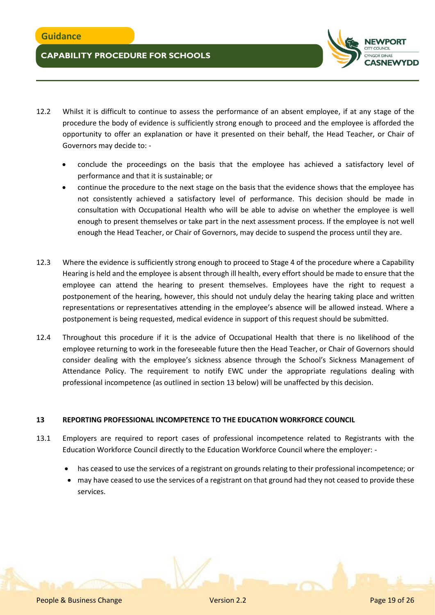

- 12.2 Whilst it is difficult to continue to assess the performance of an absent employee, if at any stage of the procedure the body of evidence is sufficiently strong enough to proceed and the employee is afforded the opportunity to offer an explanation or have it presented on their behalf, the Head Teacher, or Chair of Governors may decide to:
	- conclude the proceedings on the basis that the employee has achieved a satisfactory level of performance and that it is sustainable; or
	- continue the procedure to the next stage on the basis that the evidence shows that the employee has not consistently achieved a satisfactory level of performance. This decision should be made in consultation with Occupational Health who will be able to advise on whether the employee is well enough to present themselves or take part in the next assessment process. If the employee is not well enough the Head Teacher, or Chair of Governors, may decide to suspend the process until they are.
- 12.3 Where the evidence is sufficiently strong enough to proceed to Stage 4 of the procedure where a Capability Hearing is held and the employee is absent through ill health, every effort should be made to ensure that the employee can attend the hearing to present themselves. Employees have the right to request a postponement of the hearing, however, this should not unduly delay the hearing taking place and written representations or representatives attending in the employee's absence will be allowed instead. Where a postponement is being requested, medical evidence in support of this request should be submitted.
- 12.4 Throughout this procedure if it is the advice of Occupational Health that there is no likelihood of the employee returning to work in the foreseeable future then the Head Teacher, or Chair of Governors should consider dealing with the employee's sickness absence through the School's Sickness Management of Attendance Policy. The requirement to notify EWC under the appropriate regulations dealing with professional incompetence (as outlined in section 13 below) will be unaffected by this decision.

### **13 REPORTING PROFESSIONAL INCOMPETENCE TO THE EDUCATION WORKFORCE COUNCIL**

- 13.1 Employers are required to report cases of professional incompetence related to Registrants with the Education Workforce Council directly to the Education Workforce Council where the employer:
	- has ceased to use the services of a registrant on grounds relating to their professional incompetence; or
	- may have ceased to use the services of a registrant on that ground had they not ceased to provide these services.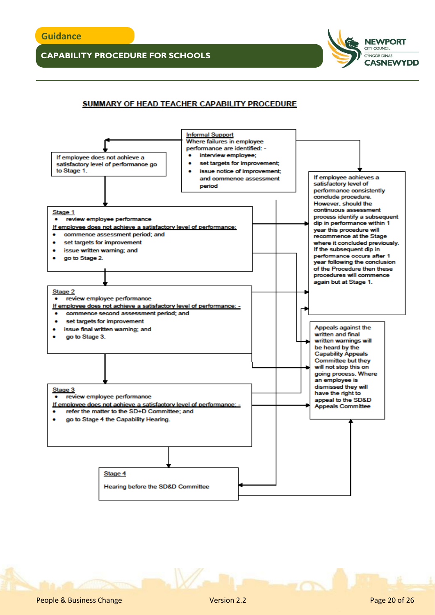## SUMMARY OF HEAD TEACHER CAPABILITY PROCEDURE



**NEWPORT** CITY COUNCIL CYNGOR DINAS

**CASNEWYDD**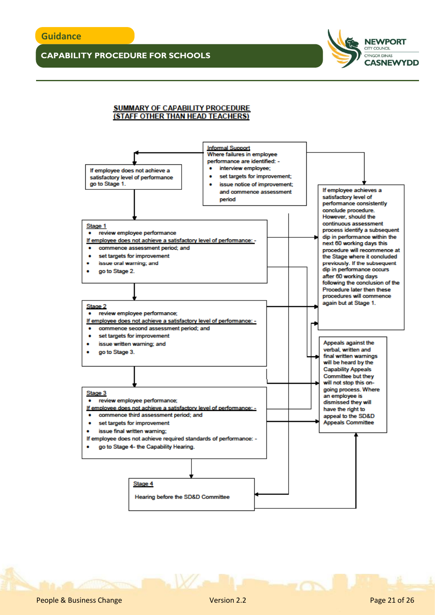

#### **SUMMARY OF CAPABILITY PROCEDURE** (STAFF OTHER THAN HEAD TEACHERS)

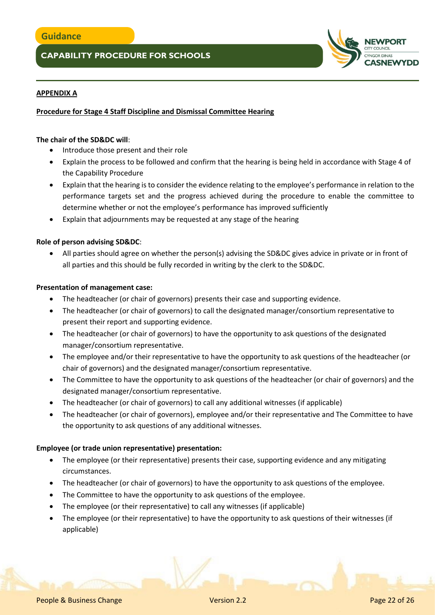

## **APPENDIX A**

## **Procedure for Stage 4 Staff Discipline and Dismissal Committee Hearing**

### **The chair of the SD&DC will**:

- Introduce those present and their role
- Explain the process to be followed and confirm that the hearing is being held in accordance with Stage 4 of the Capability Procedure
- Explain that the hearing is to consider the evidence relating to the employee's performance in relation to the performance targets set and the progress achieved during the procedure to enable the committee to determine whether or not the employee's performance has improved sufficiently
- Explain that adjournments may be requested at any stage of the hearing

### **Role of person advising SD&DC**:

 All parties should agree on whether the person(s) advising the SD&DC gives advice in private or in front of all parties and this should be fully recorded in writing by the clerk to the SD&DC.

### **Presentation of management case:**

- The headteacher (or chair of governors) presents their case and supporting evidence.
- The headteacher (or chair of governors) to call the designated manager/consortium representative to present their report and supporting evidence.
- The headteacher (or chair of governors) to have the opportunity to ask questions of the designated manager/consortium representative.
- The employee and/or their representative to have the opportunity to ask questions of the headteacher (or chair of governors) and the designated manager/consortium representative.
- The Committee to have the opportunity to ask questions of the headteacher (or chair of governors) and the designated manager/consortium representative.
- The headteacher (or chair of governors) to call any additional witnesses (if applicable)
- The headteacher (or chair of governors), employee and/or their representative and The Committee to have the opportunity to ask questions of any additional witnesses.

### **Employee (or trade union representative) presentation:**

- The employee (or their representative) presents their case, supporting evidence and any mitigating circumstances.
- The headteacher (or chair of governors) to have the opportunity to ask questions of the employee.
- The Committee to have the opportunity to ask questions of the employee.
- The employee (or their representative) to call any witnesses (if applicable)
- The employee (or their representative) to have the opportunity to ask questions of their witnesses (if applicable)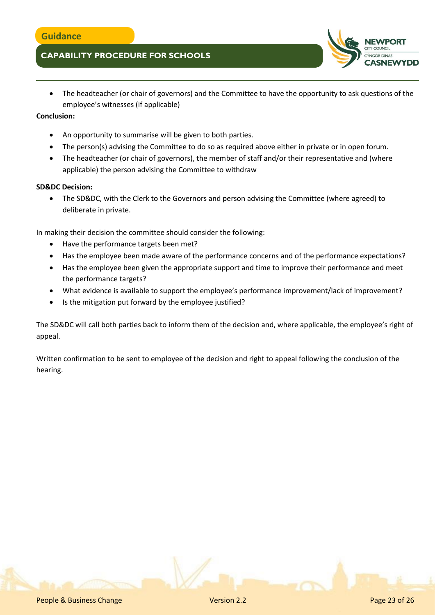- **ASNEWYDD**
- The headteacher (or chair of governors) and the Committee to have the opportunity to ask questions of the employee's witnesses (if applicable)

## **Conclusion:**

- An opportunity to summarise will be given to both parties.
- The person(s) advising the Committee to do so as required above either in private or in open forum.
- The headteacher (or chair of governors), the member of staff and/or their representative and (where applicable) the person advising the Committee to withdraw

## **SD&DC Decision:**

 The SD&DC, with the Clerk to the Governors and person advising the Committee (where agreed) to deliberate in private.

In making their decision the committee should consider the following:

- Have the performance targets been met?
- Has the employee been made aware of the performance concerns and of the performance expectations?
- Has the employee been given the appropriate support and time to improve their performance and meet the performance targets?
- What evidence is available to support the employee's performance improvement/lack of improvement?
- Is the mitigation put forward by the employee justified?

The SD&DC will call both parties back to inform them of the decision and, where applicable, the employee's right of appeal.

Written confirmation to be sent to employee of the decision and right to appeal following the conclusion of the hearing.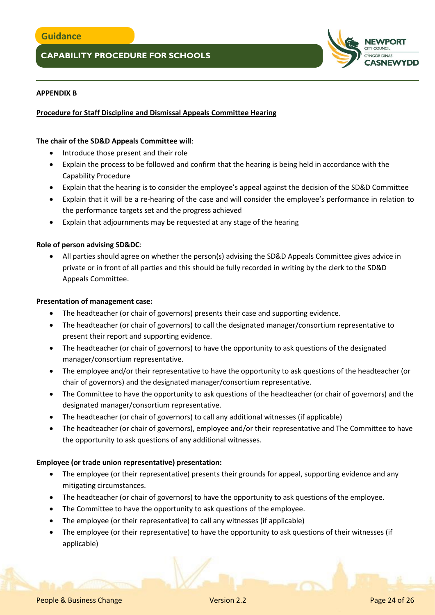

### **APPENDIX B**

## **Procedure for Staff Discipline and Dismissal Appeals Committee Hearing**

### **The chair of the SD&D Appeals Committee will**:

- Introduce those present and their role
- Explain the process to be followed and confirm that the hearing is being held in accordance with the Capability Procedure
- Explain that the hearing is to consider the employee's appeal against the decision of the SD&D Committee
- Explain that it will be a re-hearing of the case and will consider the employee's performance in relation to the performance targets set and the progress achieved
- Explain that adjournments may be requested at any stage of the hearing

### **Role of person advising SD&DC**:

 All parties should agree on whether the person(s) advising the SD&D Appeals Committee gives advice in private or in front of all parties and this should be fully recorded in writing by the clerk to the SD&D Appeals Committee.

### **Presentation of management case:**

- The headteacher (or chair of governors) presents their case and supporting evidence.
- The headteacher (or chair of governors) to call the designated manager/consortium representative to present their report and supporting evidence.
- The headteacher (or chair of governors) to have the opportunity to ask questions of the designated manager/consortium representative.
- The employee and/or their representative to have the opportunity to ask questions of the headteacher (or chair of governors) and the designated manager/consortium representative.
- The Committee to have the opportunity to ask questions of the headteacher (or chair of governors) and the designated manager/consortium representative.
- The headteacher (or chair of governors) to call any additional witnesses (if applicable)
- The headteacher (or chair of governors), employee and/or their representative and The Committee to have the opportunity to ask questions of any additional witnesses.

### **Employee (or trade union representative) presentation:**

- The employee (or their representative) presents their grounds for appeal, supporting evidence and any mitigating circumstances.
- The headteacher (or chair of governors) to have the opportunity to ask questions of the employee.
- The Committee to have the opportunity to ask questions of the employee.
- The employee (or their representative) to call any witnesses (if applicable)
- The employee (or their representative) to have the opportunity to ask questions of their witnesses (if applicable)

People & Business Change Version 2.2 Page 24 of 26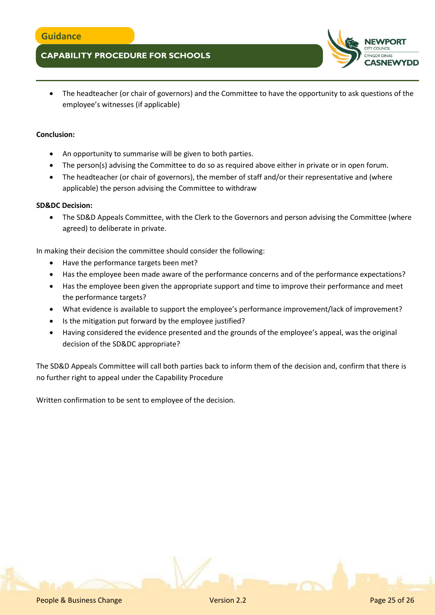

 The headteacher (or chair of governors) and the Committee to have the opportunity to ask questions of the employee's witnesses (if applicable)

### **Conclusion:**

- An opportunity to summarise will be given to both parties.
- The person(s) advising the Committee to do so as required above either in private or in open forum.
- The headteacher (or chair of governors), the member of staff and/or their representative and (where applicable) the person advising the Committee to withdraw

### **SD&DC Decision:**

• The SD&D Appeals Committee, with the Clerk to the Governors and person advising the Committee (where agreed) to deliberate in private.

In making their decision the committee should consider the following:

- Have the performance targets been met?
- Has the employee been made aware of the performance concerns and of the performance expectations?
- Has the employee been given the appropriate support and time to improve their performance and meet the performance targets?
- What evidence is available to support the employee's performance improvement/lack of improvement?
- Is the mitigation put forward by the employee justified?
- Having considered the evidence presented and the grounds of the employee's appeal, was the original decision of the SD&DC appropriate?

The SD&D Appeals Committee will call both parties back to inform them of the decision and, confirm that there is no further right to appeal under the Capability Procedure

Written confirmation to be sent to employee of the decision.